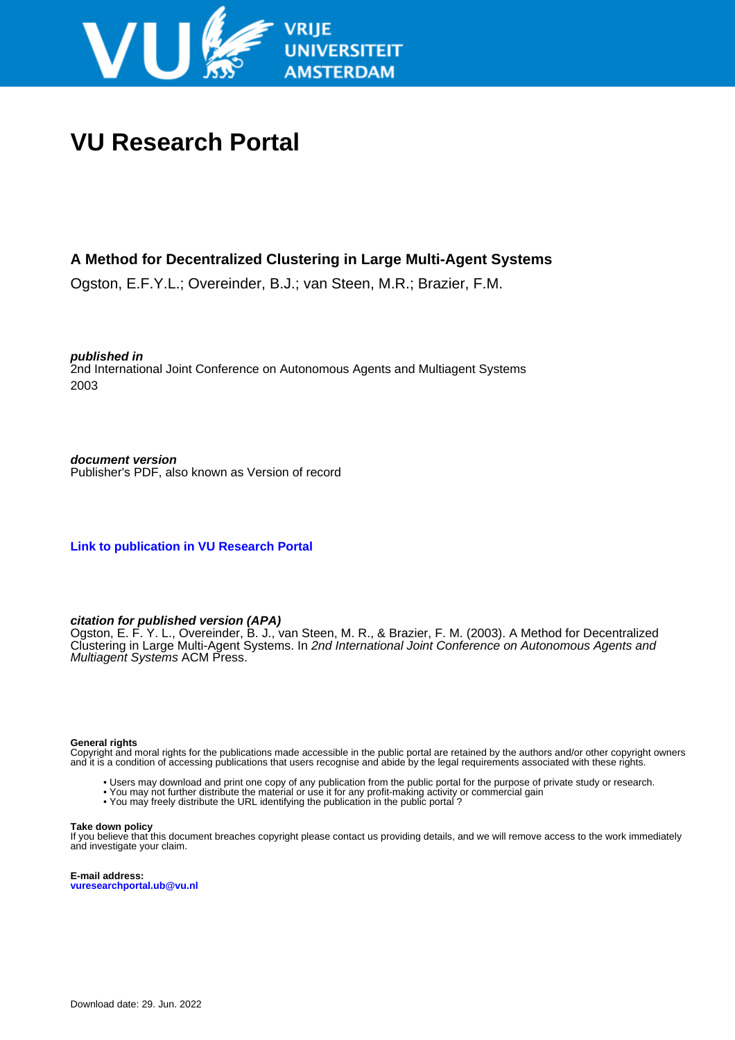

# **VU Research Portal**

## **A Method for Decentralized Clustering in Large Multi-Agent Systems**

Ogston, E.F.Y.L.; Overeinder, B.J.; van Steen, M.R.; Brazier, F.M.

**published in** 2nd International Joint Conference on Autonomous Agents and Multiagent Systems 2003

**document version** Publisher's PDF, also known as Version of record

**[Link to publication in VU Research Portal](https://research.vu.nl/en/publications/927af552-822a-49c0-b7d8-5fc1f3998222)**

### **citation for published version (APA)**

Ogston, E. F. Y. L., Overeinder, B. J., van Steen, M. R., & Brazier, F. M. (2003). A Method for Decentralized Clustering in Large Multi-Agent Systems. In 2nd International Joint Conference on Autonomous Agents and Multiagent Systems ACM Press.

#### **General rights**

Copyright and moral rights for the publications made accessible in the public portal are retained by the authors and/or other copyright owners and it is a condition of accessing publications that users recognise and abide by the legal requirements associated with these rights.

- Users may download and print one copy of any publication from the public portal for the purpose of private study or research.
- You may not further distribute the material or use it for any profit-making activity or commercial gain
- You may freely distribute the URL identifying the publication in the public portal ?

#### **Take down policy**

If you believe that this document breaches copyright please contact us providing details, and we will remove access to the work immediately and investigate your claim.

**E-mail address: vuresearchportal.ub@vu.nl**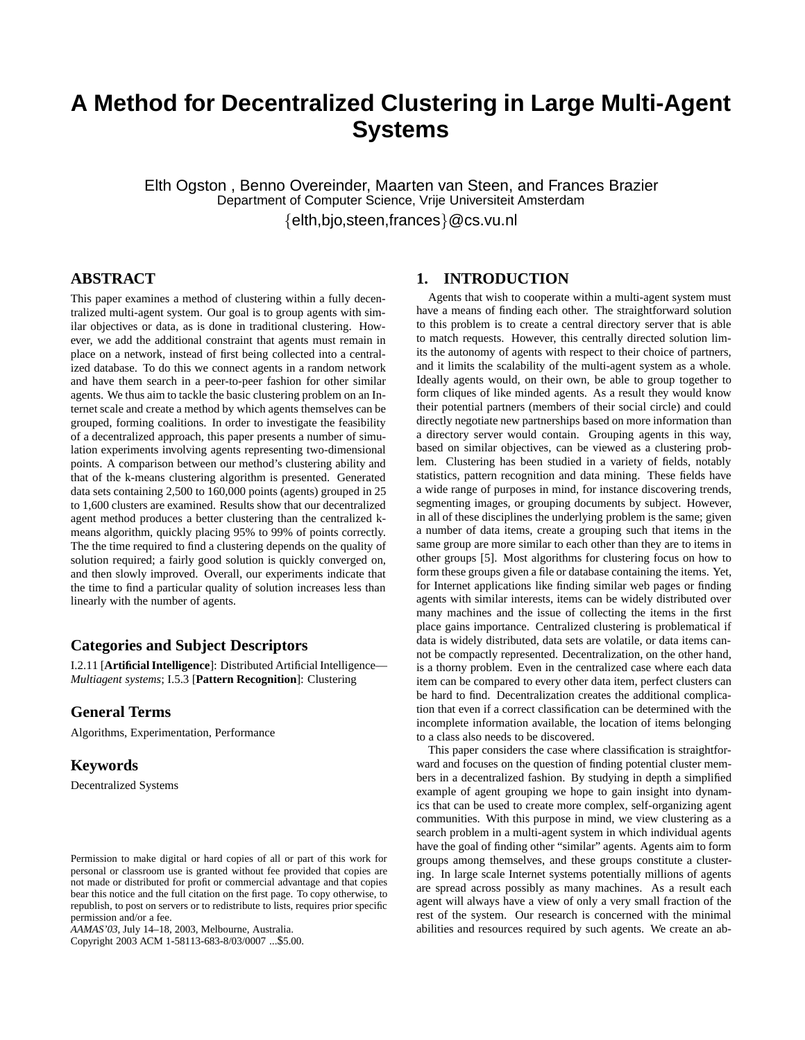## **A Method for Decentralized Clustering in Large Multi-Agent Systems**

Elth Ogston , Benno Overeinder, Maarten van Steen, and Frances Brazier Department of Computer Science, Vrije Universiteit Amsterdam {elth,bjo,steen,frances}@cs.vu.nl

## **ABSTRACT**

This paper examines a method of clustering within a fully decentralized multi-agent system. Our goal is to group agents with similar objectives or data, as is done in traditional clustering. However, we add the additional constraint that agents must remain in place on a network, instead of first being collected into a centralized database. To do this we connect agents in a random network and have them search in a peer-to-peer fashion for other similar agents. We thus aim to tackle the basic clustering problem on an Internet scale and create a method by which agents themselves can be grouped, forming coalitions. In order to investigate the feasibility of a decentralized approach, this paper presents a number of simulation experiments involving agents representing two-dimensional points. A comparison between our method's clustering ability and that of the k-means clustering algorithm is presented. Generated data sets containing 2,500 to 160,000 points (agents) grouped in 25 to 1,600 clusters are examined. Results show that our decentralized agent method produces a better clustering than the centralized kmeans algorithm, quickly placing 95% to 99% of points correctly. The the time required to find a clustering depends on the quality of solution required; a fairly good solution is quickly converged on, and then slowly improved. Overall, our experiments indicate that the time to find a particular quality of solution increases less than linearly with the number of agents.

#### **Categories and Subject Descriptors**

I.2.11 [**Artificial Intelligence**]: Distributed Artificial Intelligence— *Multiagent systems*; I.5.3 [**Pattern Recognition**]: Clustering

#### **General Terms**

Algorithms, Experimentation, Performance

## **Keywords**

Decentralized Systems

Copyright 2003 ACM 1-58113-683-8/03/0007 ...\$5.00.

#### **1. INTRODUCTION**

Agents that wish to cooperate within a multi-agent system must have a means of finding each other. The straightforward solution to this problem is to create a central directory server that is able to match requests. However, this centrally directed solution limits the autonomy of agents with respect to their choice of partners, and it limits the scalability of the multi-agent system as a whole. Ideally agents would, on their own, be able to group together to form cliques of like minded agents. As a result they would know their potential partners (members of their social circle) and could directly negotiate new partnerships based on more information than a directory server would contain. Grouping agents in this way, based on similar objectives, can be viewed as a clustering problem. Clustering has been studied in a variety of fields, notably statistics, pattern recognition and data mining. These fields have a wide range of purposes in mind, for instance discovering trends, segmenting images, or grouping documents by subject. However, in all of these disciplines the underlying problem is the same; given a number of data items, create a grouping such that items in the same group are more similar to each other than they are to items in other groups [5]. Most algorithms for clustering focus on how to form these groups given a file or database containing the items. Yet, for Internet applications like finding similar web pages or finding agents with similar interests, items can be widely distributed over many machines and the issue of collecting the items in the first place gains importance. Centralized clustering is problematical if data is widely distributed, data sets are volatile, or data items cannot be compactly represented. Decentralization, on the other hand, is a thorny problem. Even in the centralized case where each data item can be compared to every other data item, perfect clusters can be hard to find. Decentralization creates the additional complication that even if a correct classification can be determined with the incomplete information available, the location of items belonging to a class also needs to be discovered.

This paper considers the case where classification is straightforward and focuses on the question of finding potential cluster members in a decentralized fashion. By studying in depth a simplified example of agent grouping we hope to gain insight into dynamics that can be used to create more complex, self-organizing agent communities. With this purpose in mind, we view clustering as a search problem in a multi-agent system in which individual agents have the goal of finding other "similar" agents. Agents aim to form groups among themselves, and these groups constitute a clustering. In large scale Internet systems potentially millions of agents are spread across possibly as many machines. As a result each agent will always have a view of only a very small fraction of the rest of the system. Our research is concerned with the minimal abilities and resources required by such agents. We create an ab-

Permission to make digital or hard copies of all or part of this work for personal or classroom use is granted without fee provided that copies are not made or distributed for profit or commercial advantage and that copies bear this notice and the full citation on the first page. To copy otherwise, to republish, to post on servers or to redistribute to lists, requires prior specific permission and/or a fee.

*AAMAS'03,* July 14–18, 2003, Melbourne, Australia.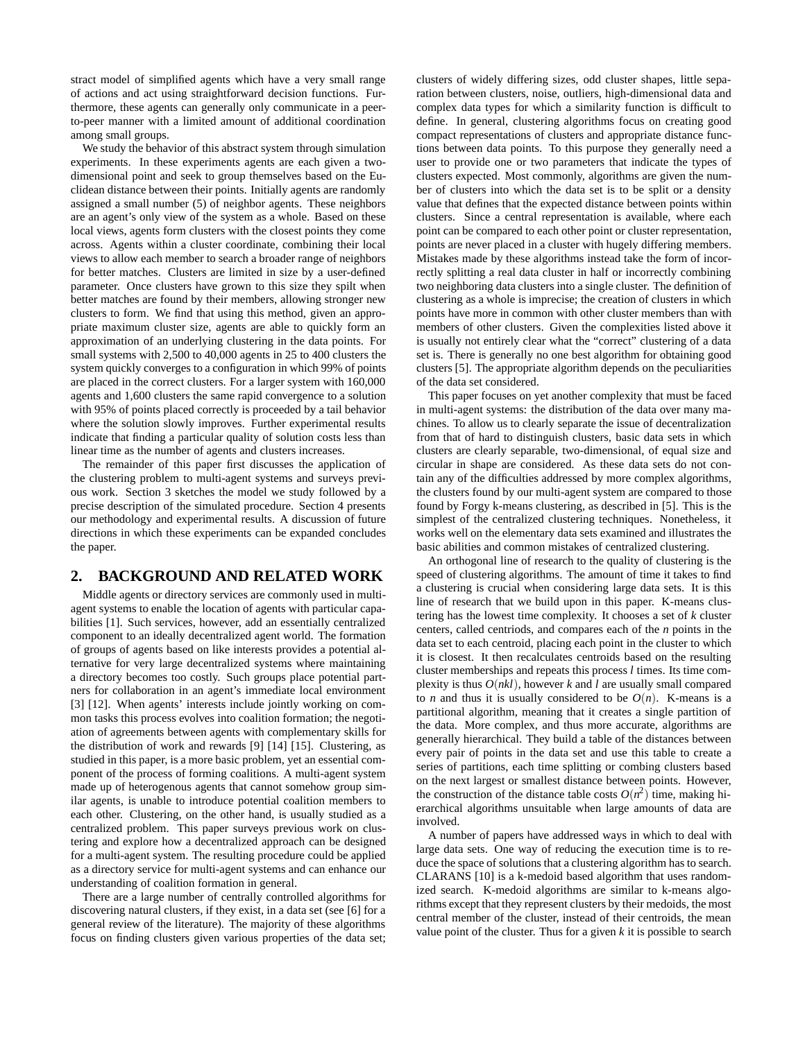stract model of simplified agents which have a very small range of actions and act using straightforward decision functions. Furthermore, these agents can generally only communicate in a peerto-peer manner with a limited amount of additional coordination among small groups.

We study the behavior of this abstract system through simulation experiments. In these experiments agents are each given a twodimensional point and seek to group themselves based on the Euclidean distance between their points. Initially agents are randomly assigned a small number (5) of neighbor agents. These neighbors are an agent's only view of the system as a whole. Based on these local views, agents form clusters with the closest points they come across. Agents within a cluster coordinate, combining their local views to allow each member to search a broader range of neighbors for better matches. Clusters are limited in size by a user-defined parameter. Once clusters have grown to this size they spilt when better matches are found by their members, allowing stronger new clusters to form. We find that using this method, given an appropriate maximum cluster size, agents are able to quickly form an approximation of an underlying clustering in the data points. For small systems with 2,500 to 40,000 agents in 25 to 400 clusters the system quickly converges to a configuration in which 99% of points are placed in the correct clusters. For a larger system with 160,000 agents and 1,600 clusters the same rapid convergence to a solution with 95% of points placed correctly is proceeded by a tail behavior where the solution slowly improves. Further experimental results indicate that finding a particular quality of solution costs less than linear time as the number of agents and clusters increases.

The remainder of this paper first discusses the application of the clustering problem to multi-agent systems and surveys previous work. Section 3 sketches the model we study followed by a precise description of the simulated procedure. Section 4 presents our methodology and experimental results. A discussion of future directions in which these experiments can be expanded concludes the paper.

## **2. BACKGROUND AND RELATED WORK**

Middle agents or directory services are commonly used in multiagent systems to enable the location of agents with particular capabilities [1]. Such services, however, add an essentially centralized component to an ideally decentralized agent world. The formation of groups of agents based on like interests provides a potential alternative for very large decentralized systems where maintaining a directory becomes too costly. Such groups place potential partners for collaboration in an agent's immediate local environment [3] [12]. When agents' interests include jointly working on common tasks this process evolves into coalition formation; the negotiation of agreements between agents with complementary skills for the distribution of work and rewards [9] [14] [15]. Clustering, as studied in this paper, is a more basic problem, yet an essential component of the process of forming coalitions. A multi-agent system made up of heterogenous agents that cannot somehow group similar agents, is unable to introduce potential coalition members to each other. Clustering, on the other hand, is usually studied as a centralized problem. This paper surveys previous work on clustering and explore how a decentralized approach can be designed for a multi-agent system. The resulting procedure could be applied as a directory service for multi-agent systems and can enhance our understanding of coalition formation in general.

There are a large number of centrally controlled algorithms for discovering natural clusters, if they exist, in a data set (see [6] for a general review of the literature). The majority of these algorithms focus on finding clusters given various properties of the data set; clusters of widely differing sizes, odd cluster shapes, little separation between clusters, noise, outliers, high-dimensional data and complex data types for which a similarity function is difficult to define. In general, clustering algorithms focus on creating good compact representations of clusters and appropriate distance functions between data points. To this purpose they generally need a user to provide one or two parameters that indicate the types of clusters expected. Most commonly, algorithms are given the number of clusters into which the data set is to be split or a density value that defines that the expected distance between points within clusters. Since a central representation is available, where each point can be compared to each other point or cluster representation, points are never placed in a cluster with hugely differing members. Mistakes made by these algorithms instead take the form of incorrectly splitting a real data cluster in half or incorrectly combining two neighboring data clusters into a single cluster. The definition of clustering as a whole is imprecise; the creation of clusters in which points have more in common with other cluster members than with members of other clusters. Given the complexities listed above it is usually not entirely clear what the "correct" clustering of a data set is. There is generally no one best algorithm for obtaining good clusters [5]. The appropriate algorithm depends on the peculiarities of the data set considered.

This paper focuses on yet another complexity that must be faced in multi-agent systems: the distribution of the data over many machines. To allow us to clearly separate the issue of decentralization from that of hard to distinguish clusters, basic data sets in which clusters are clearly separable, two-dimensional, of equal size and circular in shape are considered. As these data sets do not contain any of the difficulties addressed by more complex algorithms, the clusters found by our multi-agent system are compared to those found by Forgy k-means clustering, as described in [5]. This is the simplest of the centralized clustering techniques. Nonetheless, it works well on the elementary data sets examined and illustrates the basic abilities and common mistakes of centralized clustering.

An orthogonal line of research to the quality of clustering is the speed of clustering algorithms. The amount of time it takes to find a clustering is crucial when considering large data sets. It is this line of research that we build upon in this paper. K-means clustering has the lowest time complexity. It chooses a set of *k* cluster centers, called centriods, and compares each of the *n* points in the data set to each centroid, placing each point in the cluster to which it is closest. It then recalculates centroids based on the resulting cluster memberships and repeats this process *l* times. Its time complexity is thus *O*(*nkl*), however *k* and *l* are usually small compared to *n* and thus it is usually considered to be  $O(n)$ . K-means is a partitional algorithm, meaning that it creates a single partition of the data. More complex, and thus more accurate, algorithms are generally hierarchical. They build a table of the distances between every pair of points in the data set and use this table to create a series of partitions, each time splitting or combing clusters based on the next largest or smallest distance between points. However, the construction of the distance table costs  $O(n^2)$  time, making hierarchical algorithms unsuitable when large amounts of data are involved.

A number of papers have addressed ways in which to deal with large data sets. One way of reducing the execution time is to reduce the space of solutions that a clustering algorithm has to search. CLARANS [10] is a k-medoid based algorithm that uses randomized search. K-medoid algorithms are similar to k-means algorithms except that they represent clusters by their medoids, the most central member of the cluster, instead of their centroids, the mean value point of the cluster. Thus for a given *k* it is possible to search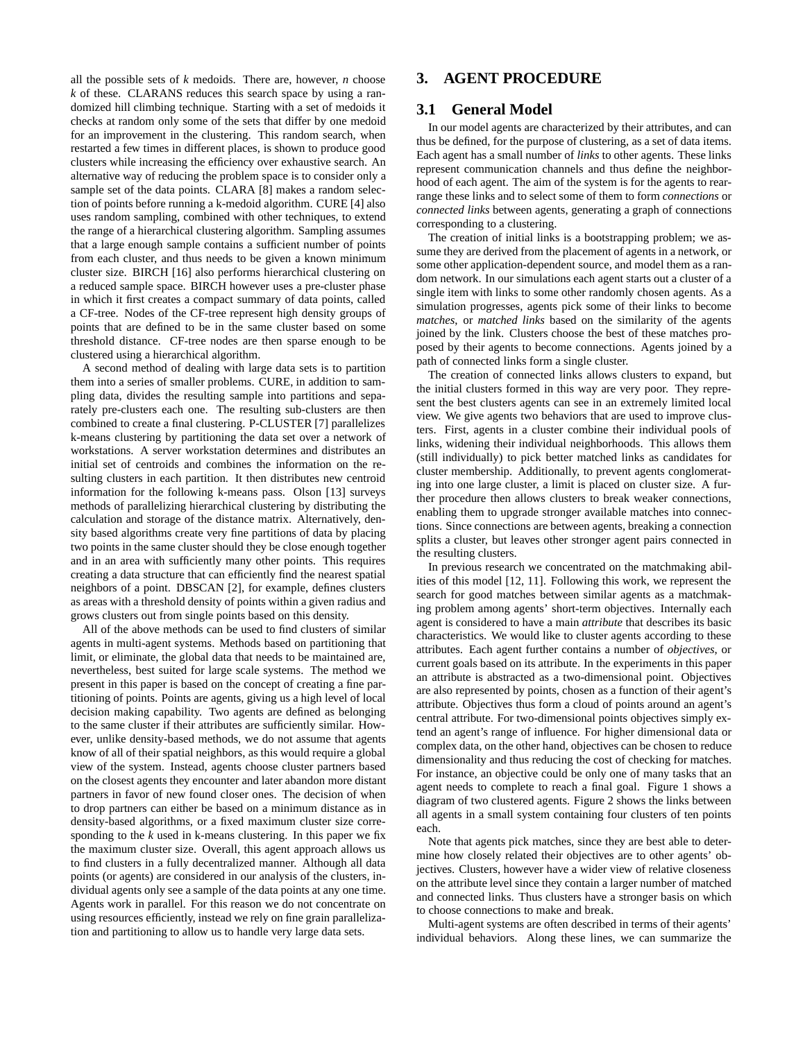all the possible sets of *k* medoids. There are, however, *n* choose *k* of these. CLARANS reduces this search space by using a randomized hill climbing technique. Starting with a set of medoids it checks at random only some of the sets that differ by one medoid for an improvement in the clustering. This random search, when restarted a few times in different places, is shown to produce good clusters while increasing the efficiency over exhaustive search. An alternative way of reducing the problem space is to consider only a sample set of the data points. CLARA [8] makes a random selection of points before running a k-medoid algorithm. CURE [4] also uses random sampling, combined with other techniques, to extend the range of a hierarchical clustering algorithm. Sampling assumes that a large enough sample contains a sufficient number of points from each cluster, and thus needs to be given a known minimum cluster size. BIRCH [16] also performs hierarchical clustering on a reduced sample space. BIRCH however uses a pre-cluster phase in which it first creates a compact summary of data points, called a CF-tree. Nodes of the CF-tree represent high density groups of points that are defined to be in the same cluster based on some threshold distance. CF-tree nodes are then sparse enough to be clustered using a hierarchical algorithm.

A second method of dealing with large data sets is to partition them into a series of smaller problems. CURE, in addition to sampling data, divides the resulting sample into partitions and separately pre-clusters each one. The resulting sub-clusters are then combined to create a final clustering. P-CLUSTER [7] parallelizes k-means clustering by partitioning the data set over a network of workstations. A server workstation determines and distributes an initial set of centroids and combines the information on the resulting clusters in each partition. It then distributes new centroid information for the following k-means pass. Olson [13] surveys methods of parallelizing hierarchical clustering by distributing the calculation and storage of the distance matrix. Alternatively, density based algorithms create very fine partitions of data by placing two points in the same cluster should they be close enough together and in an area with sufficiently many other points. This requires creating a data structure that can efficiently find the nearest spatial neighbors of a point. DBSCAN [2], for example, defines clusters as areas with a threshold density of points within a given radius and grows clusters out from single points based on this density.

All of the above methods can be used to find clusters of similar agents in multi-agent systems. Methods based on partitioning that limit, or eliminate, the global data that needs to be maintained are, nevertheless, best suited for large scale systems. The method we present in this paper is based on the concept of creating a fine partitioning of points. Points are agents, giving us a high level of local decision making capability. Two agents are defined as belonging to the same cluster if their attributes are sufficiently similar. However, unlike density-based methods, we do not assume that agents know of all of their spatial neighbors, as this would require a global view of the system. Instead, agents choose cluster partners based on the closest agents they encounter and later abandon more distant partners in favor of new found closer ones. The decision of when to drop partners can either be based on a minimum distance as in density-based algorithms, or a fixed maximum cluster size corresponding to the *k* used in k-means clustering. In this paper we fix the maximum cluster size. Overall, this agent approach allows us to find clusters in a fully decentralized manner. Although all data points (or agents) are considered in our analysis of the clusters, individual agents only see a sample of the data points at any one time. Agents work in parallel. For this reason we do not concentrate on using resources efficiently, instead we rely on fine grain parallelization and partitioning to allow us to handle very large data sets.

## **3. AGENT PROCEDURE**

## **3.1 General Model**

In our model agents are characterized by their attributes, and can thus be defined, for the purpose of clustering, as a set of data items. Each agent has a small number of *links* to other agents. These links represent communication channels and thus define the neighborhood of each agent. The aim of the system is for the agents to rearrange these links and to select some of them to form *connections* or *connected links* between agents, generating a graph of connections corresponding to a clustering.

The creation of initial links is a bootstrapping problem; we assume they are derived from the placement of agents in a network, or some other application-dependent source, and model them as a random network. In our simulations each agent starts out a cluster of a single item with links to some other randomly chosen agents. As a simulation progresses, agents pick some of their links to become *matches*, or *matched links* based on the similarity of the agents joined by the link. Clusters choose the best of these matches proposed by their agents to become connections. Agents joined by a path of connected links form a single cluster.

The creation of connected links allows clusters to expand, but the initial clusters formed in this way are very poor. They represent the best clusters agents can see in an extremely limited local view. We give agents two behaviors that are used to improve clusters. First, agents in a cluster combine their individual pools of links, widening their individual neighborhoods. This allows them (still individually) to pick better matched links as candidates for cluster membership. Additionally, to prevent agents conglomerating into one large cluster, a limit is placed on cluster size. A further procedure then allows clusters to break weaker connections, enabling them to upgrade stronger available matches into connections. Since connections are between agents, breaking a connection splits a cluster, but leaves other stronger agent pairs connected in the resulting clusters.

In previous research we concentrated on the matchmaking abilities of this model [12, 11]. Following this work, we represent the search for good matches between similar agents as a matchmaking problem among agents' short-term objectives. Internally each agent is considered to have a main *attribute* that describes its basic characteristics. We would like to cluster agents according to these attributes. Each agent further contains a number of *objectives*, or current goals based on its attribute. In the experiments in this paper an attribute is abstracted as a two-dimensional point. Objectives are also represented by points, chosen as a function of their agent's attribute. Objectives thus form a cloud of points around an agent's central attribute. For two-dimensional points objectives simply extend an agent's range of influence. For higher dimensional data or complex data, on the other hand, objectives can be chosen to reduce dimensionality and thus reducing the cost of checking for matches. For instance, an objective could be only one of many tasks that an agent needs to complete to reach a final goal. Figure 1 shows a diagram of two clustered agents. Figure 2 shows the links between all agents in a small system containing four clusters of ten points each.

Note that agents pick matches, since they are best able to determine how closely related their objectives are to other agents' objectives. Clusters, however have a wider view of relative closeness on the attribute level since they contain a larger number of matched and connected links. Thus clusters have a stronger basis on which to choose connections to make and break.

Multi-agent systems are often described in terms of their agents' individual behaviors. Along these lines, we can summarize the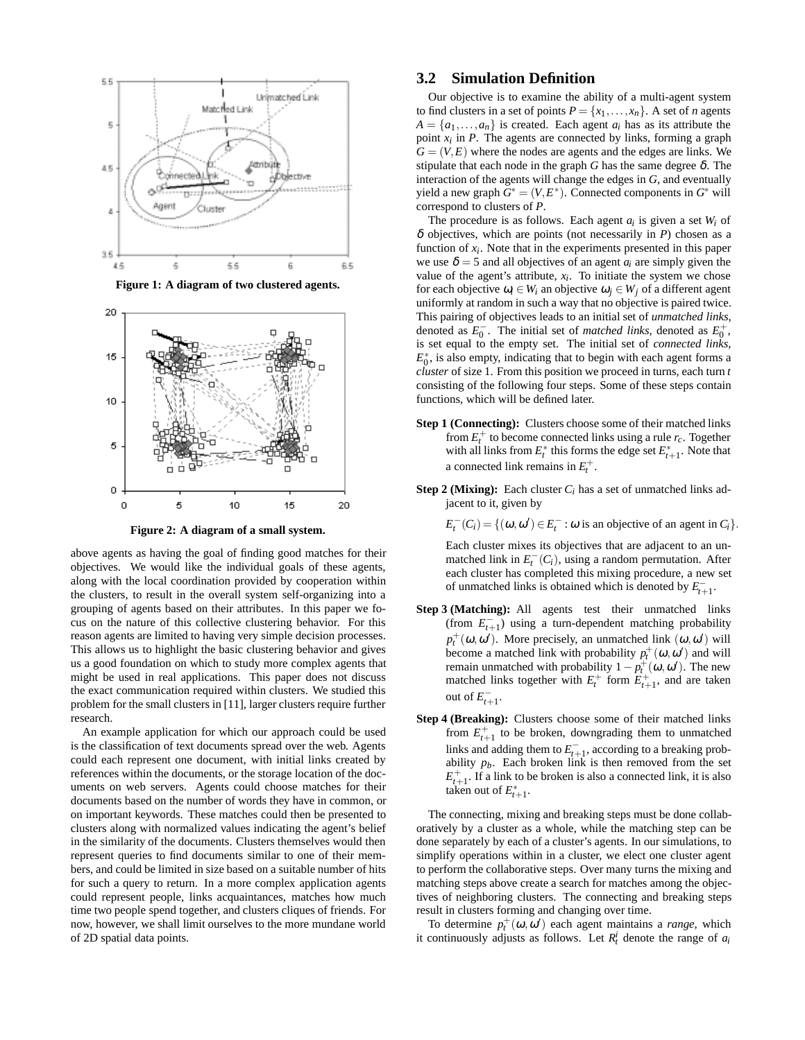

**Figure 1: A diagram of two clustered agents.**



**Figure 2: A diagram of a small system.**

above agents as having the goal of finding good matches for their objectives. We would like the individual goals of these agents, along with the local coordination provided by cooperation within the clusters, to result in the overall system self-organizing into a grouping of agents based on their attributes. In this paper we focus on the nature of this collective clustering behavior. For this reason agents are limited to having very simple decision processes. This allows us to highlight the basic clustering behavior and gives us a good foundation on which to study more complex agents that might be used in real applications. This paper does not discuss the exact communication required within clusters. We studied this problem for the small clusters in [11], larger clusters require further research.

An example application for which our approach could be used is the classification of text documents spread over the web. Agents could each represent one document, with initial links created by references within the documents, or the storage location of the documents on web servers. Agents could choose matches for their documents based on the number of words they have in common, or on important keywords. These matches could then be presented to clusters along with normalized values indicating the agent's belief in the similarity of the documents. Clusters themselves would then represent queries to find documents similar to one of their members, and could be limited in size based on a suitable number of hits for such a query to return. In a more complex application agents could represent people, links acquaintances, matches how much time two people spend together, and clusters cliques of friends. For now, however, we shall limit ourselves to the more mundane world of 2D spatial data points.

## **3.2 Simulation Definition**

Our objective is to examine the ability of a multi-agent system to find clusters in a set of points  $P = \{x_1, \ldots, x_n\}$ . A set of *n* agents  $A = \{a_1, \ldots, a_n\}$  is created. Each agent  $a_i$  has as its attribute the point  $x_i$  in  $P$ . The agents are connected by links, forming a graph  $G = (V, E)$  where the nodes are agents and the edges are links. We stipulate that each node in the graph *G* has the same degree  $\delta$ . The interaction of the agents will change the edges in *G*, and eventually yield a new graph  $G^* = (V, E^*)$ . Connected components in  $G^*$  will correspond to clusters of *P*.

The procedure is as follows. Each agent *ai* is given a set *Wi* of δ objectives, which are points (not necessarily in *P*) chosen as a function of *xi*. Note that in the experiments presented in this paper we use  $\delta = 5$  and all objectives of an agent  $a_i$  are simply given the value of the agent's attribute,  $x_i$ . To initiate the system we chose for each objective  $\omega_i \in W_i$  an objective  $\omega_j \in W_j$  of a different agent uniformly at random in such a way that no objective is paired twice. This pairing of objectives leads to an initial set of *unmatched links*, denoted as  $E_0^-$ . The initial set of *matched links*, denoted as  $E_0^+$ , is set equal to the empty set. The initial set of *connected links*, *E*<sup>∗</sup><sub>0</sub>, is also empty, indicating that to begin with each agent forms a *cluster* of size 1. From this position we proceed in turns, each turn *t* consisting of the following four steps. Some of these steps contain functions, which will be defined later.

- **Step 1 (Connecting):** Clusters choose some of their matched links from  $E_t^+$  to become connected links using a rule  $r_c$ . Together with all links from  $E_t^*$  this forms the edge set  $E_{t+1}^*$ . Note that a connected link remains in  $E_t^+$ .
- **Step 2 (Mixing):** Each cluster *Ci* has a set of unmatched links adjacent to it, given by

 $E_t^-(C_i) = \{ (\omega, \omega') \in E_t^- : \omega \text{ is an objective of an agent in } C_i \}.$ 

Each cluster mixes its objectives that are adjacent to an unmatched link in  $E_t^-(C_i)$ , using a random permutation. After each cluster has completed this mixing procedure, a new set of unmatched links is obtained which is denoted by  $E_{t+1}^-$ .

- **Step 3 (Matching):** All agents test their unmatched links (from  $E_{t+1}^-$ ) using a turn-dependent matching probability  $p_t^+(\omega, \omega')$ . More precisely, an unmatched link  $(\omega, \omega')$  will become a matched link with probability  $p_t^+(\omega, \omega')$  and will remain unmatched with probability  $1 - p_t^+ (\omega, \omega')$ . The new matched links together with  $E_t^+$  form  $E_{t+1}^+$ , and are taken out of  $E_{t+1}^-$ .
- **Step 4 (Breaking):** Clusters choose some of their matched links from  $E_{t+1}^+$  to be broken, downgrading them to unmatched links and adding them to  $E_{t+1}^-$ , according to a breaking probability  $p_b$ . Each broken link is then removed from the set  $E_{t+1}^+$ . If a link to be broken is also a connected link, it is also taken out of  $E_{t+1}^*$ .

The connecting, mixing and breaking steps must be done collaboratively by a cluster as a whole, while the matching step can be done separately by each of a cluster's agents. In our simulations, to simplify operations within in a cluster, we elect one cluster agent to perform the collaborative steps. Over many turns the mixing and matching steps above create a search for matches among the objectives of neighboring clusters. The connecting and breaking steps result in clusters forming and changing over time.

To determine  $p_t^+(\omega, \omega')$  each agent maintains a *range*, which it continuously adjusts as follows. Let  $R_t^i$  denote the range of  $a_i$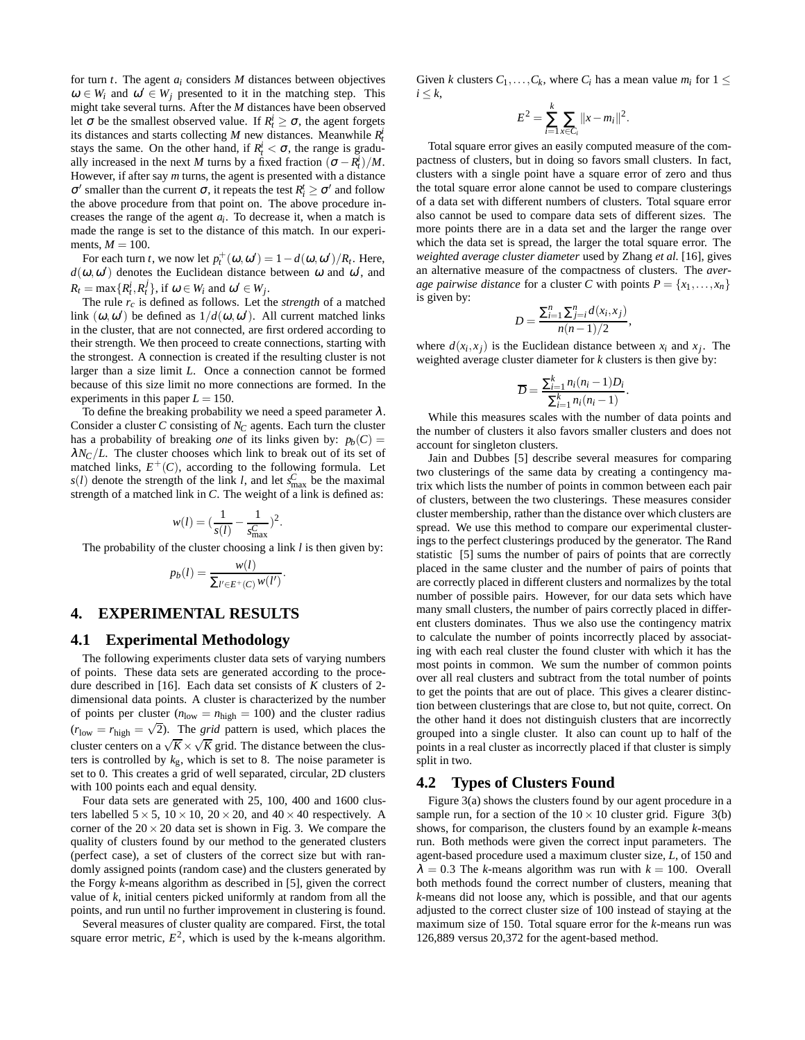for turn *t*. The agent *ai* considers *M* distances between objectives  $\omega \in W_i$  and  $\omega' \in W_j$  presented to it in the matching step. This might take several turns. After the *M* distances have been observed let  $\sigma$  be the smallest observed value. If  $R_t^i \geq \sigma$ , the agent forgets its distances and starts collecting *M* new distances. Meanwhile  $R_t^i$ stays the same. On the other hand, if  $R_t^i < \sigma$ , the range is gradually increased in the next *M* turns by a fixed fraction  $\left(\sigma - \overrightarrow{R_t^i}\right)/M$ . However, if after say *m* turns, the agent is presented with a distance σ' smaller than the current σ, it repeats the test  $R_i^t \geq \sigma'$  and follow the above procedure from that point on. The above procedure increases the range of the agent *ai*. To decrease it, when a match is made the range is set to the distance of this match. In our experiments,  $M = 100$ .

For each turn *t*, we now let  $p_t^+(\omega, \omega') = 1 - d(\omega, \omega')/R_t$ . Here,  $d(\omega, \omega')$  denotes the Euclidean distance between  $\omega$  and  $\omega'$ , and  $R_t = \max\{R_t^i, R_t^j\}$ , if  $\omega \in W_i$  and  $\omega' \in W_j$ .

The rule  $r_c$  is defined as follows. Let the *strength* of a matched link  $(\omega, \omega')$  be defined as  $1/d(\omega, \omega')$ . All current matched links in the cluster, that are not connected, are first ordered according to their strength. We then proceed to create connections, starting with the strongest. A connection is created if the resulting cluster is not larger than a size limit *L*. Once a connection cannot be formed because of this size limit no more connections are formed. In the experiments in this paper  $L = 150$ .

To define the breaking probability we need a speed parameter  $\lambda$ . Consider a cluster *C* consisting of  $N_C$  agents. Each turn the cluster has a probability of breaking *one* of its links given by:  $p_b(C)$  =  $\lambda N_C/L$ . The cluster chooses which link to break out of its set of matched links,  $E^+(C)$ , according to the following formula. Let  $s(l)$  denote the strength of the link *l*, and let  $s_{\text{max}}^C$  be the maximal strength of a matched link in *C*. The weight of a link is defined as:

$$
w(l) = (\frac{1}{s(l)} - \frac{1}{s_{\text{max}}^C})^2.
$$

The probability of the cluster choosing a link *l* is then given by:

$$
p_b(l) = \frac{w(l)}{\sum_{l' \in E^+(C)} w(l')}.
$$

## **4. EXPERIMENTAL RESULTS**

#### **4.1 Experimental Methodology**

The following experiments cluster data sets of varying numbers of points. These data sets are generated according to the procedure described in [16]. Each data set consists of *K* clusters of 2 dimensional data points. A cluster is characterized by the number of points per cluster ( $n_{\text{low}} = n_{\text{high}} = 100$ ) and the cluster radius  $(r_{\text{low}} = r_{\text{high}} = \sqrt{2})$ . The *grid* pattern is used, which places the  $\frac{C_1}{C_1}$  of  $\frac{C_1}{C_1}$  is the grid pattern is used, which places the clus-<br>cluster centers on a  $\sqrt{K} \times \sqrt{K}$  grid. The distance between the clusters is controlled by  $k<sub>g</sub>$ , which is set to 8. The noise parameter is set to 0. This creates a grid of well separated, circular, 2D clusters with 100 points each and equal density.

Four data sets are generated with 25, 100, 400 and 1600 clusters labelled  $5 \times 5$ ,  $10 \times 10$ ,  $20 \times 20$ , and  $40 \times 40$  respectively. A corner of the  $20 \times 20$  data set is shown in Fig. 3. We compare the quality of clusters found by our method to the generated clusters (perfect case), a set of clusters of the correct size but with randomly assigned points (random case) and the clusters generated by the Forgy *k*-means algorithm as described in [5], given the correct value of *k*, initial centers picked uniformly at random from all the points, and run until no further improvement in clustering is found.

Several measures of cluster quality are compared. First, the total square error metric,  $E^2$ , which is used by the k-means algorithm.

Given *k* clusters  $C_1, \ldots, C_k$ , where  $C_i$  has a mean value  $m_i$  for  $1 \leq$  $i \leq k$ ,

$$
E^{2} = \sum_{i=1}^{k} \sum_{x \in C_{i}} ||x - m_{i}||^{2}.
$$

Total square error gives an easily computed measure of the compactness of clusters, but in doing so favors small clusters. In fact, clusters with a single point have a square error of zero and thus the total square error alone cannot be used to compare clusterings of a data set with different numbers of clusters. Total square error also cannot be used to compare data sets of different sizes. The more points there are in a data set and the larger the range over which the data set is spread, the larger the total square error. The *weighted average cluster diameter* used by Zhang *et al.* [16], gives an alternative measure of the compactness of clusters. The *average pairwise distance* for a cluster *C* with points  $P = \{x_1, \ldots, x_n\}$ is given by:

$$
D = \frac{\sum_{i=1}^{n} \sum_{j=i}^{n} d(x_i, x_j)}{n(n-1)/2},
$$

where  $d(x_i, x_j)$  is the Euclidean distance between  $x_i$  and  $x_j$ . The weighted average cluster diameter for *k* clusters is then give by:

$$
\overline{D} = \frac{\sum_{i=1}^{k} n_i (n_i - 1) D_i}{\sum_{i=1}^{k} n_i (n_i - 1)}.
$$

While this measures scales with the number of data points and the number of clusters it also favors smaller clusters and does not account for singleton clusters.

Jain and Dubbes [5] describe several measures for comparing two clusterings of the same data by creating a contingency matrix which lists the number of points in common between each pair of clusters, between the two clusterings. These measures consider cluster membership, rather than the distance over which clusters are spread. We use this method to compare our experimental clusterings to the perfect clusterings produced by the generator. The Rand statistic [5] sums the number of pairs of points that are correctly placed in the same cluster and the number of pairs of points that are correctly placed in different clusters and normalizes by the total number of possible pairs. However, for our data sets which have many small clusters, the number of pairs correctly placed in different clusters dominates. Thus we also use the contingency matrix to calculate the number of points incorrectly placed by associating with each real cluster the found cluster with which it has the most points in common. We sum the number of common points over all real clusters and subtract from the total number of points to get the points that are out of place. This gives a clearer distinction between clusterings that are close to, but not quite, correct. On the other hand it does not distinguish clusters that are incorrectly grouped into a single cluster. It also can count up to half of the points in a real cluster as incorrectly placed if that cluster is simply split in two.

#### **4.2 Types of Clusters Found**

Figure 3(a) shows the clusters found by our agent procedure in a sample run, for a section of the  $10 \times 10$  cluster grid. Figure 3(b) shows, for comparison, the clusters found by an example *k*-means run. Both methods were given the correct input parameters. The agent-based procedure used a maximum cluster size, *L*, of 150 and  $\lambda = 0.3$  The *k*-means algorithm was run with  $k = 100$ . Overall both methods found the correct number of clusters, meaning that *k*-means did not loose any, which is possible, and that our agents adjusted to the correct cluster size of 100 instead of staying at the maximum size of 150. Total square error for the *k*-means run was 126,889 versus 20,372 for the agent-based method.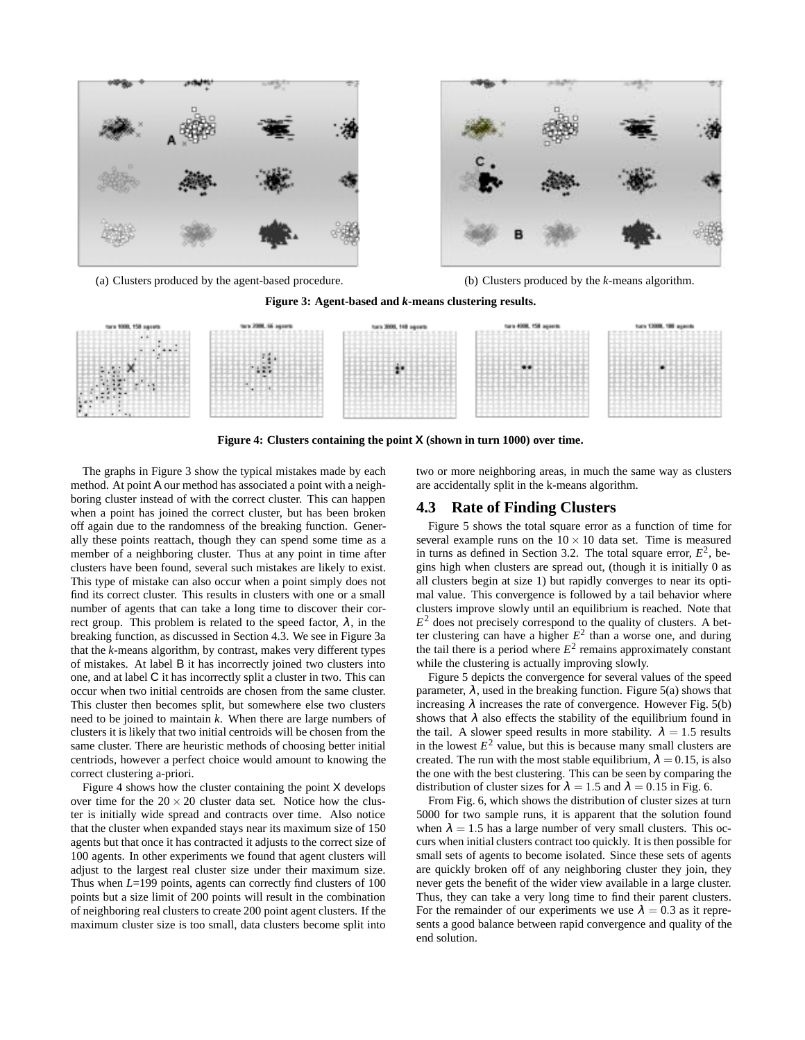





**Figure 3: Agent-based and** *k***-means clustering results.**



**Figure 4: Clusters containing the point X (shown in turn 1000) over time.**

The graphs in Figure 3 show the typical mistakes made by each method. At point A our method has associated a point with a neighboring cluster instead of with the correct cluster. This can happen when a point has joined the correct cluster, but has been broken off again due to the randomness of the breaking function. Generally these points reattach, though they can spend some time as a member of a neighboring cluster. Thus at any point in time after clusters have been found, several such mistakes are likely to exist. This type of mistake can also occur when a point simply does not find its correct cluster. This results in clusters with one or a small number of agents that can take a long time to discover their correct group. This problem is related to the speed factor,  $\lambda$ , in the breaking function, as discussed in Section 4.3. We see in Figure 3a that the *k*-means algorithm, by contrast, makes very different types of mistakes. At label B it has incorrectly joined two clusters into one, and at label C it has incorrectly split a cluster in two. This can occur when two initial centroids are chosen from the same cluster. This cluster then becomes split, but somewhere else two clusters need to be joined to maintain *k*. When there are large numbers of clusters it is likely that two initial centroids will be chosen from the same cluster. There are heuristic methods of choosing better initial centriods, however a perfect choice would amount to knowing the correct clustering a-priori.

Figure 4 shows how the cluster containing the point X develops over time for the  $20 \times 20$  cluster data set. Notice how the cluster is initially wide spread and contracts over time. Also notice that the cluster when expanded stays near its maximum size of 150 agents but that once it has contracted it adjusts to the correct size of 100 agents. In other experiments we found that agent clusters will adjust to the largest real cluster size under their maximum size. Thus when *L*=199 points, agents can correctly find clusters of 100 points but a size limit of 200 points will result in the combination of neighboring real clusters to create 200 point agent clusters. If the maximum cluster size is too small, data clusters become split into two or more neighboring areas, in much the same way as clusters are accidentally split in the k-means algorithm.

#### **4.3 Rate of Finding Clusters**

Figure 5 shows the total square error as a function of time for several example runs on the  $10 \times 10$  data set. Time is measured in turns as defined in Section 3.2. The total square error,  $E^2$ , begins high when clusters are spread out, (though it is initially 0 as all clusters begin at size 1) but rapidly converges to near its optimal value. This convergence is followed by a tail behavior where clusters improve slowly until an equilibrium is reached. Note that  $E<sup>2</sup>$  does not precisely correspond to the quality of clusters. A better clustering can have a higher  $E^2$  than a worse one, and during the tail there is a period where  $E^2$  remains approximately constant while the clustering is actually improving slowly.

Figure 5 depicts the convergence for several values of the speed parameter,  $\lambda$ , used in the breaking function. Figure 5(a) shows that increasing  $\lambda$  increases the rate of convergence. However Fig. 5(b) shows that  $\lambda$  also effects the stability of the equilibrium found in the tail. A slower speed results in more stability.  $\lambda = 1.5$  results in the lowest  $E^2$  value, but this is because many small clusters are created. The run with the most stable equilibrium,  $\lambda = 0.15$ , is also the one with the best clustering. This can be seen by comparing the distribution of cluster sizes for  $\lambda = 1.5$  and  $\lambda = 0.15$  in Fig. 6.

From Fig. 6, which shows the distribution of cluster sizes at turn 5000 for two sample runs, it is apparent that the solution found when  $\lambda = 1.5$  has a large number of very small clusters. This occurs when initial clusters contract too quickly. It is then possible for small sets of agents to become isolated. Since these sets of agents are quickly broken off of any neighboring cluster they join, they never gets the benefit of the wider view available in a large cluster. Thus, they can take a very long time to find their parent clusters. For the remainder of our experiments we use  $\lambda = 0.3$  as it represents a good balance between rapid convergence and quality of the end solution.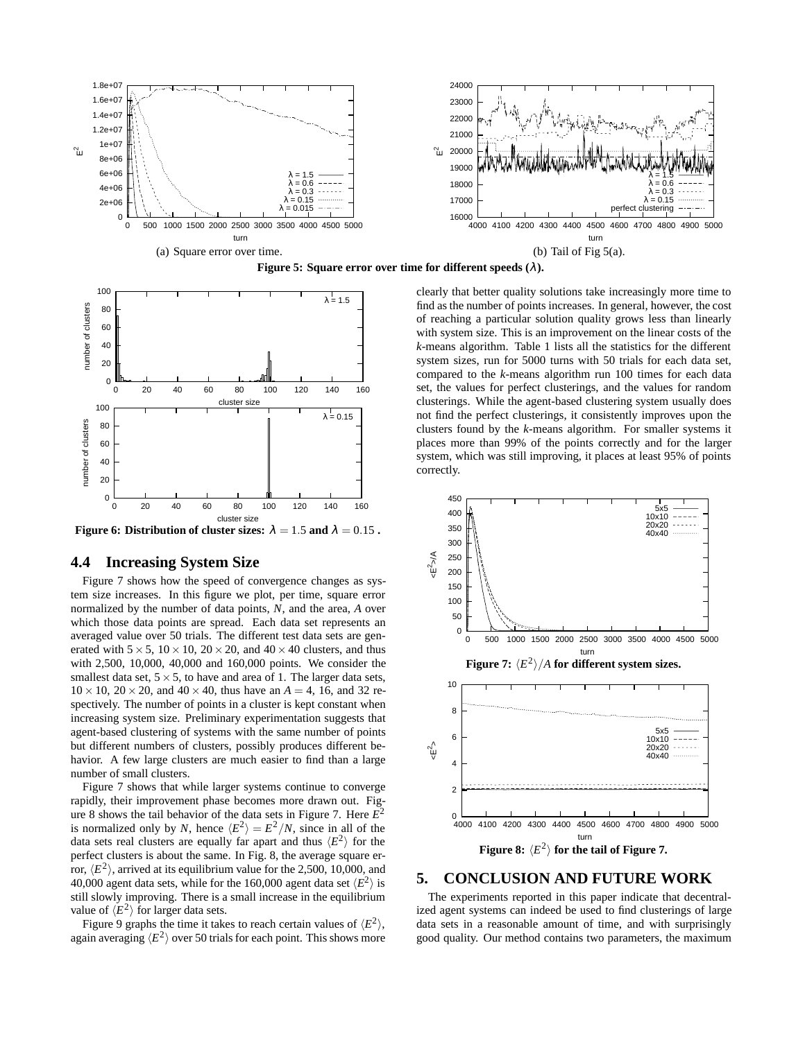



#### **4.4 Increasing System Size**

Figure 7 shows how the speed of convergence changes as system size increases. In this figure we plot, per time, square error normalized by the number of data points, *N*, and the area, *A* over which those data points are spread. Each data set represents an averaged value over 50 trials. The different test data sets are generated with  $5 \times 5$ ,  $10 \times 10$ ,  $20 \times 20$ , and  $40 \times 40$  clusters, and thus with 2,500, 10,000, 40,000 and 160,000 points. We consider the smallest data set,  $5 \times 5$ , to have and area of 1. The larger data sets,  $10 \times 10$ ,  $20 \times 20$ , and  $40 \times 40$ , thus have an  $A = 4$ , 16, and 32 respectively. The number of points in a cluster is kept constant when increasing system size. Preliminary experimentation suggests that agent-based clustering of systems with the same number of points but different numbers of clusters, possibly produces different behavior. A few large clusters are much easier to find than a large number of small clusters.

Figure 7 shows that while larger systems continue to converge rapidly, their improvement phase becomes more drawn out. Figure 8 shows the tail behavior of the data sets in Figure 7. Here  $E^2$ is normalized only by *N*, hence  $\langle E^2 \rangle = E^2/N$ , since in all of the data sets real clusters are equally far apart and thus  $\langle E^2 \rangle$  for the perfect clusters is about the same. In Fig. 8, the average square error,  $\langle E^2 \rangle$ , arrived at its equilibrium value for the 2,500, 10,000, and 40,000 agent data sets, while for the 160,000 agent data set  $\langle E^2 \rangle$  is still slowly improving. There is a small increase in the equilibrium value of  $\langle E^2 \rangle$  for larger data sets.

Figure 9 graphs the time it takes to reach certain values of  $\langle E^2 \rangle$ , again averaging  $\langle E^2 \rangle$  over 50 trials for each point. This shows more clearly that better quality solutions take increasingly more time to find as the number of points increases. In general, however, the cost of reaching a particular solution quality grows less than linearly with system size. This is an improvement on the linear costs of the *k*-means algorithm. Table 1 lists all the statistics for the different system sizes, run for 5000 turns with 50 trials for each data set, compared to the *k*-means algorithm run 100 times for each data set, the values for perfect clusterings, and the values for random clusterings. While the agent-based clustering system usually does not find the perfect clusterings, it consistently improves upon the clusters found by the *k*-means algorithm. For smaller systems it places more than 99% of the points correctly and for the larger system, which was still improving, it places at least 95% of points correctly.



#### **5. CONCLUSION AND FUTURE WORK**

The experiments reported in this paper indicate that decentralized agent systems can indeed be used to find clusterings of large data sets in a reasonable amount of time, and with surprisingly good quality. Our method contains two parameters, the maximum